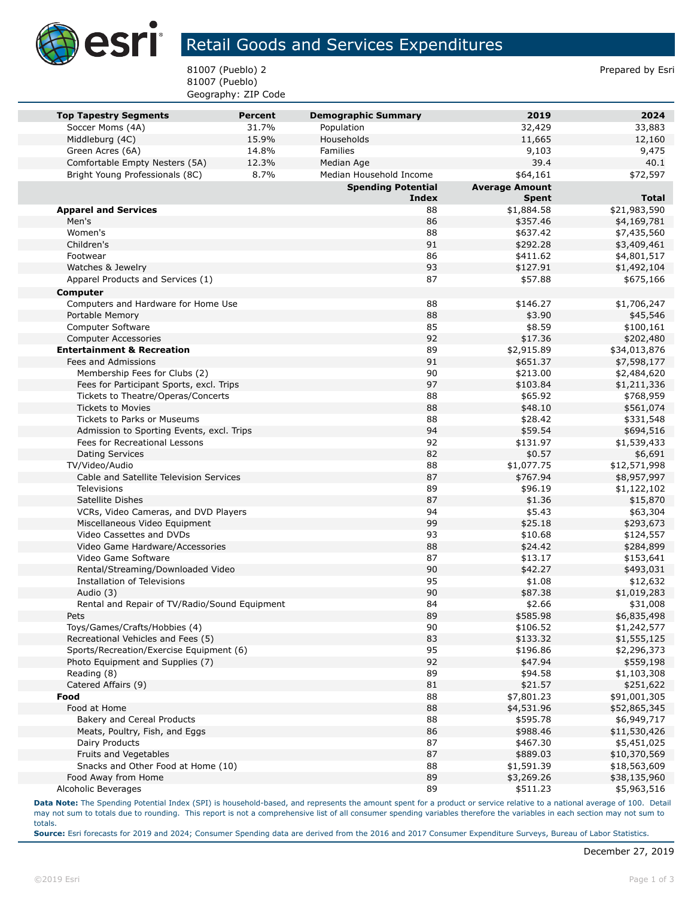

## Retail Goods and Services Expenditures

81007 (Pueblo) 2 Prepared by Esri 81007 (Pueblo) Geography: ZIP Code

| <b>Top Tapestry Segments</b>                                                    | <b>Percent</b> | <b>Demographic Summary</b> | 2019                  | 2024                    |
|---------------------------------------------------------------------------------|----------------|----------------------------|-----------------------|-------------------------|
| Soccer Moms (4A)                                                                | 31.7%          | Population                 | 32,429                | 33,883                  |
| Middleburg (4C)                                                                 | 15.9%          | Households                 | 11,665                | 12,160                  |
| Green Acres (6A)                                                                | 14.8%          | Families                   | 9,103                 | 9,475                   |
| Comfortable Empty Nesters (5A)                                                  | 12.3%          | Median Age                 | 39.4                  | 40.1                    |
| Bright Young Professionals (8C)                                                 | 8.7%           | Median Household Income    | \$64,161              | \$72,597                |
|                                                                                 |                | <b>Spending Potential</b>  | <b>Average Amount</b> |                         |
|                                                                                 |                | <b>Index</b>               | <b>Spent</b>          | <b>Total</b>            |
| <b>Apparel and Services</b>                                                     |                | 88                         | \$1,884.58            | \$21,983,590            |
| Men's                                                                           |                | 86                         | \$357.46              | \$4,169,781             |
| Women's                                                                         |                | 88                         | \$637.42              | \$7,435,560             |
| Children's                                                                      |                | 91                         | \$292.28              | \$3,409,461             |
| Footwear                                                                        |                | 86                         | \$411.62              | \$4,801,517             |
| Watches & Jewelry                                                               |                | 93                         | \$127.91              | \$1,492,104             |
| Apparel Products and Services (1)                                               |                | 87                         | \$57.88               | \$675,166               |
| Computer                                                                        |                |                            |                       |                         |
| Computers and Hardware for Home Use                                             |                | 88                         | \$146.27              | \$1,706,247             |
| Portable Memory                                                                 |                | 88                         | \$3.90                | \$45,546                |
| Computer Software                                                               |                | 85                         | \$8.59                | \$100,161               |
| <b>Computer Accessories</b>                                                     |                | 92                         | \$17.36               | \$202,480               |
| <b>Entertainment &amp; Recreation</b>                                           |                | 89                         | \$2,915.89            | \$34,013,876            |
| Fees and Admissions                                                             |                | 91                         | \$651.37              | \$7,598,177             |
| Membership Fees for Clubs (2)                                                   |                | 90                         | \$213.00              | \$2,484,620             |
| Fees for Participant Sports, excl. Trips                                        |                | 97                         | \$103.84              | \$1,211,336             |
| Tickets to Theatre/Operas/Concerts                                              |                | 88                         | \$65.92               | \$768,959               |
| <b>Tickets to Movies</b>                                                        |                | 88<br>88                   | \$48.10               | \$561,074               |
| <b>Tickets to Parks or Museums</b><br>Admission to Sporting Events, excl. Trips |                | 94                         | \$28.42<br>\$59.54    | \$331,548               |
| Fees for Recreational Lessons                                                   |                | 92                         | \$131.97              | \$694,516               |
|                                                                                 |                | 82                         |                       | \$1,539,433             |
| <b>Dating Services</b><br>TV/Video/Audio                                        |                | 88                         | \$0.57<br>\$1,077.75  | \$6,691<br>\$12,571,998 |
| Cable and Satellite Television Services                                         |                | 87                         | \$767.94              | \$8,957,997             |
| Televisions                                                                     |                | 89                         | \$96.19               | \$1,122,102             |
| Satellite Dishes                                                                |                | 87                         | \$1.36                | \$15,870                |
| VCRs, Video Cameras, and DVD Players                                            |                | 94                         | \$5.43                | \$63,304                |
| Miscellaneous Video Equipment                                                   |                | 99                         | \$25.18               | \$293,673               |
| Video Cassettes and DVDs                                                        |                | 93                         | \$10.68               | \$124,557               |
| Video Game Hardware/Accessories                                                 |                | 88                         | \$24.42               | \$284,899               |
| Video Game Software                                                             |                | 87                         | \$13.17               | \$153,641               |
| Rental/Streaming/Downloaded Video                                               |                | 90                         | \$42.27               | \$493,031               |
| Installation of Televisions                                                     |                | 95                         | \$1.08                | \$12,632                |
| Audio (3)                                                                       |                | 90                         | \$87.38               | \$1,019,283             |
| Rental and Repair of TV/Radio/Sound Equipment                                   |                | 84                         | \$2.66                | \$31,008                |
| Pets                                                                            |                | 89                         | \$585.98              | \$6,835,498             |
| Toys/Games/Crafts/Hobbies (4)                                                   |                | 90                         | \$106.52              | \$1,242,577             |
| Recreational Vehicles and Fees (5)                                              |                | 83                         | \$133.32              | \$1,555,125             |
| Sports/Recreation/Exercise Equipment (6)                                        |                | 95                         | \$196.86              | \$2,296,373             |
| Photo Equipment and Supplies (7)                                                |                | 92                         | \$47.94               | \$559,198               |
| Reading (8)                                                                     |                | 89                         | \$94.58               | \$1,103,308             |
| Catered Affairs (9)                                                             |                | 81                         | \$21.57               | \$251,622               |
| Food                                                                            |                | 88                         | \$7,801.23            | \$91,001,305            |
| Food at Home                                                                    |                | 88                         | \$4,531.96            | \$52,865,345            |
| Bakery and Cereal Products                                                      |                | 88                         | \$595.78              | \$6,949,717             |
| Meats, Poultry, Fish, and Eggs                                                  |                | 86                         | \$988.46              | \$11,530,426            |
| Dairy Products                                                                  |                | 87                         | \$467.30              | \$5,451,025             |
| Fruits and Vegetables                                                           |                | 87                         | \$889.03              | \$10,370,569            |
| Snacks and Other Food at Home (10)                                              |                | 88                         | \$1,591.39            | \$18,563,609            |
| Food Away from Home                                                             |                | 89                         | \$3,269.26            | \$38,135,960            |
| Alcoholic Beverages                                                             |                | 89                         | \$511.23              | \$5,963,516             |

**Data Note:** The Spending Potential Index (SPI) is household-based, and represents the amount spent for a product or service relative to a national average of 100. Detail may not sum to totals due to rounding. This report is not a comprehensive list of all consumer spending variables therefore the variables in each section may not sum to totals.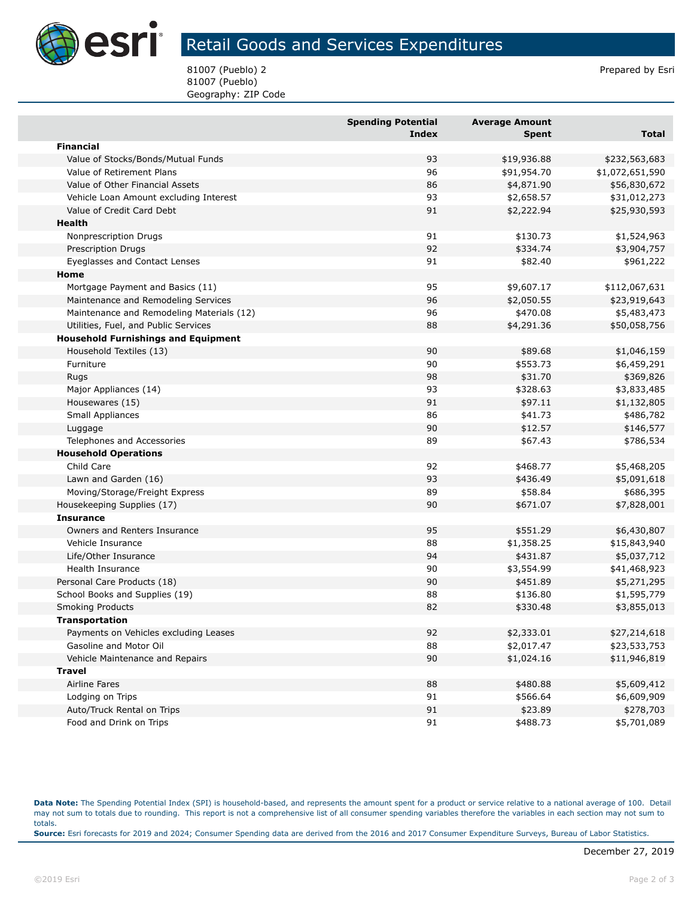

## Retail Goods and Services Expenditures

81007 (Pueblo) 2 Prepared by Esri 81007 (Pueblo) Geography: ZIP Code

|                                            | <b>Spending Potential</b><br><b>Index</b> | <b>Average Amount</b><br><b>Spent</b> | <b>Total</b>    |
|--------------------------------------------|-------------------------------------------|---------------------------------------|-----------------|
| <b>Financial</b>                           |                                           |                                       |                 |
| Value of Stocks/Bonds/Mutual Funds         | 93                                        | \$19,936.88                           | \$232,563,683   |
| Value of Retirement Plans                  | 96                                        | \$91,954.70                           | \$1,072,651,590 |
| Value of Other Financial Assets            | 86                                        | \$4,871.90                            | \$56,830,672    |
| Vehicle Loan Amount excluding Interest     | 93                                        | \$2,658.57                            | \$31,012,273    |
| Value of Credit Card Debt                  | 91                                        | \$2,222.94                            | \$25,930,593    |
| Health                                     |                                           |                                       |                 |
| Nonprescription Drugs                      | 91                                        | \$130.73                              | \$1,524,963     |
| <b>Prescription Drugs</b>                  | 92                                        | \$334.74                              | \$3,904,757     |
| Eyeglasses and Contact Lenses              | 91                                        | \$82.40                               | \$961,222       |
| Home                                       |                                           |                                       |                 |
| Mortgage Payment and Basics (11)           | 95                                        | \$9,607.17                            | \$112,067,631   |
| Maintenance and Remodeling Services        | 96                                        | \$2,050.55                            | \$23,919,643    |
| Maintenance and Remodeling Materials (12)  | 96                                        | \$470.08                              | \$5,483,473     |
| Utilities, Fuel, and Public Services       | 88                                        | \$4,291.36                            | \$50,058,756    |
| <b>Household Furnishings and Equipment</b> |                                           |                                       |                 |
| Household Textiles (13)                    | 90                                        | \$89.68                               | \$1,046,159     |
| Furniture                                  | 90                                        | \$553.73                              | \$6,459,291     |
| Rugs                                       | 98                                        | \$31.70                               | \$369,826       |
| Major Appliances (14)                      | 93                                        | \$328.63                              | \$3,833,485     |
| Housewares (15)                            | 91                                        | \$97.11                               | \$1,132,805     |
| Small Appliances                           | 86                                        | \$41.73                               | \$486,782       |
| Luggage                                    | 90                                        | \$12.57                               | \$146,577       |
| Telephones and Accessories                 | 89                                        | \$67.43                               | \$786,534       |
| <b>Household Operations</b>                |                                           |                                       |                 |
| Child Care                                 | 92                                        | \$468.77                              | \$5,468,205     |
| Lawn and Garden (16)                       | 93                                        | \$436.49                              | \$5,091,618     |
| Moving/Storage/Freight Express             | 89                                        | \$58.84                               | \$686,395       |
| Housekeeping Supplies (17)                 | 90                                        | \$671.07                              | \$7,828,001     |
| <b>Insurance</b>                           |                                           |                                       |                 |
| Owners and Renters Insurance               | 95                                        | \$551.29                              | \$6,430,807     |
| Vehicle Insurance                          | 88                                        | \$1,358.25                            | \$15,843,940    |
| Life/Other Insurance                       | 94                                        | \$431.87                              | \$5,037,712     |
| Health Insurance                           | 90                                        | \$3,554.99                            | \$41,468,923    |
| Personal Care Products (18)                | 90                                        | \$451.89                              | \$5,271,295     |
| School Books and Supplies (19)             | 88                                        | \$136.80                              | \$1,595,779     |
| <b>Smoking Products</b>                    | 82                                        | \$330.48                              | \$3,855,013     |
| <b>Transportation</b>                      |                                           |                                       |                 |
| Payments on Vehicles excluding Leases      | 92                                        | \$2,333.01                            | \$27,214,618    |
| Gasoline and Motor Oil                     | 88                                        | \$2,017.47                            | \$23,533,753    |
| Vehicle Maintenance and Repairs            | 90                                        | \$1,024.16                            | \$11,946,819    |
| <b>Travel</b>                              |                                           |                                       |                 |
| Airline Fares                              | 88                                        | \$480.88                              | \$5,609,412     |
| Lodging on Trips                           | 91                                        | \$566.64                              | \$6,609,909     |
| Auto/Truck Rental on Trips                 | 91                                        | \$23.89                               | \$278,703       |
| Food and Drink on Trips                    | 91                                        | \$488.73                              | \$5,701,089     |

**Data Note:** The Spending Potential Index (SPI) is household-based, and represents the amount spent for a product or service relative to a national average of 100. Detail may not sum to totals due to rounding. This report is not a comprehensive list of all consumer spending variables therefore the variables in each section may not sum to totals. **Source:** Esri forecasts for 2019 and 2024; Consumer Spending data are derived from the 2016 and 2017 Consumer Expenditure Surveys, Bureau of Labor Statistics.